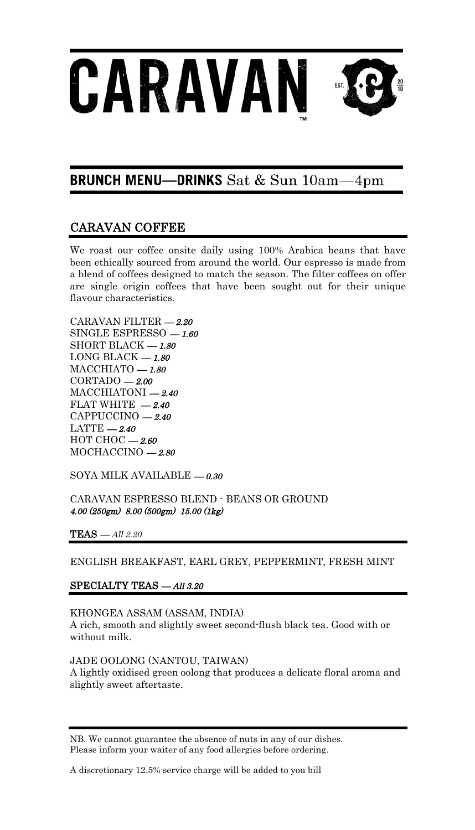

#### **BRUNCH MENU-DRINKS** Sat & Sun 10am- $4 \text{pm}$

# CARAVAN COFFEE

We roast our coffee onsite daily using 100% Arabica beans that have been ethically sourced from around the world. Our espresso is made from a blend of coffees designed to match the season. The filter coffees on offer are single origin coffees that have been sought out for their unique flavour characteristics.

CARAVAN FILTER –– 2.20 SINGLE ESPRESSO  $-1.60$ SHORT BLACK  $-1.80$ LONG BLACK  $-1.80$  $MACCHIATO - 1.80$  $CORTADO - 2.00$  $MACCHIATORI = 2.40$ FLAT WHITE  $-2.40$ CAPPUCCINO - 2.40  $LATTE-2.40$  $HOTCHOC = 2.60$  $MOCHACCINO -2.80$ 

SOYA MILK AVAILABLE  $-0.30$ 

CARAVAN ESPRESSO BLEND - BEANS OR GROUND 4.00 (250gm) 8.00 (500gm) 15.00 (1kg)

 $\textbf{TEAS}$  — $All$   $2.20$ 

ENGLISH BREAKFAST, EARL GREY, PEPPERMINT, FRESH MINT

### SPECIALTY TEAS - All 3.20

KHONGEA ASSAM (ASSAM, INDIA) A rich, smooth and slightly sweet second-flush black tea. Good with or without milk.

JADE OOLONG (NANTOU, TAIWAN) A lightly oxidised green oolong that produces a delicate floral aroma and slightly sweet aftertaste.

NB. We cannot guarantee the absence of nuts in any of our dishes. Please inform your waiter of any food allergies before ordering.

A discretionary 12.5% service charge will be added to you bill